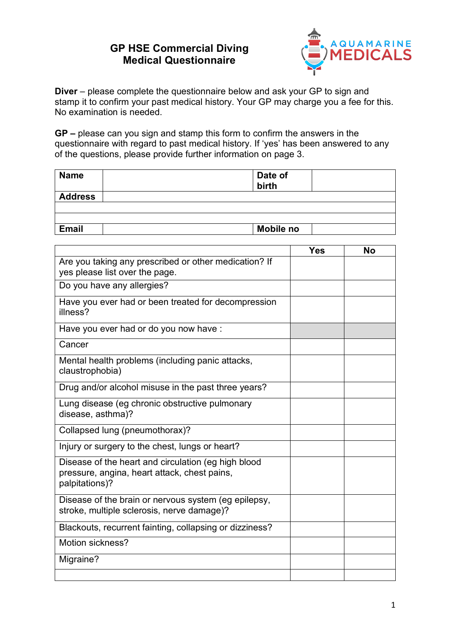## **GP HSE Commercial Diving Medical Questionnaire**



**Diver** – please complete the questionnaire below and ask your GP to sign and stamp it to confirm your past medical history. Your GP may charge you a fee for this. No examination is needed.

**GP –** please can you sign and stamp this form to confirm the answers in the questionnaire with regard to past medical history. If 'yes' has been answered to any of the questions, please provide further information on page 3.

| <b>Name</b>    | Date of<br>birth |
|----------------|------------------|
| <b>Address</b> |                  |
|                |                  |
|                |                  |
| <b>Email</b>   | <b>Mobile no</b> |

|                                                                                                                       | <b>Yes</b> | <b>No</b> |
|-----------------------------------------------------------------------------------------------------------------------|------------|-----------|
| Are you taking any prescribed or other medication? If<br>yes please list over the page.                               |            |           |
| Do you have any allergies?                                                                                            |            |           |
| Have you ever had or been treated for decompression<br>illness?                                                       |            |           |
| Have you ever had or do you now have :                                                                                |            |           |
| Cancer                                                                                                                |            |           |
| Mental health problems (including panic attacks,<br>claustrophobia)                                                   |            |           |
| Drug and/or alcohol misuse in the past three years?                                                                   |            |           |
| Lung disease (eg chronic obstructive pulmonary<br>disease, asthma)?                                                   |            |           |
| Collapsed lung (pneumothorax)?                                                                                        |            |           |
| Injury or surgery to the chest, lungs or heart?                                                                       |            |           |
| Disease of the heart and circulation (eg high blood<br>pressure, angina, heart attack, chest pains,<br>palpitations)? |            |           |
| Disease of the brain or nervous system (eg epilepsy,<br>stroke, multiple sclerosis, nerve damage)?                    |            |           |
| Blackouts, recurrent fainting, collapsing or dizziness?                                                               |            |           |
| Motion sickness?                                                                                                      |            |           |
| Migraine?                                                                                                             |            |           |
|                                                                                                                       |            |           |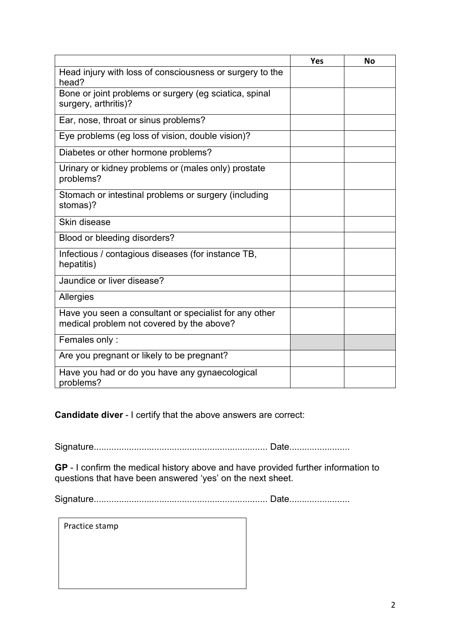|                                                                                                     | <b>Yes</b> | <b>No</b> |
|-----------------------------------------------------------------------------------------------------|------------|-----------|
| Head injury with loss of consciousness or surgery to the<br>head?                                   |            |           |
| Bone or joint problems or surgery (eg sciatica, spinal<br>surgery, arthritis)?                      |            |           |
| Ear, nose, throat or sinus problems?                                                                |            |           |
| Eye problems (eg loss of vision, double vision)?                                                    |            |           |
| Diabetes or other hormone problems?                                                                 |            |           |
| Urinary or kidney problems or (males only) prostate<br>problems?                                    |            |           |
| Stomach or intestinal problems or surgery (including<br>stomas)?                                    |            |           |
| Skin disease                                                                                        |            |           |
| Blood or bleeding disorders?                                                                        |            |           |
| Infectious / contagious diseases (for instance TB,<br>hepatitis)                                    |            |           |
| Jaundice or liver disease?                                                                          |            |           |
| Allergies                                                                                           |            |           |
| Have you seen a consultant or specialist for any other<br>medical problem not covered by the above? |            |           |
| Females only:                                                                                       |            |           |
| Are you pregnant or likely to be pregnant?                                                          |            |           |
| Have you had or do you have any gynaecological<br>problems?                                         |            |           |

**Candidate diver** - I certify that the above answers are correct:

Signature..................................................................... Date........................

**GP** - I confirm the medical history above and have provided further information to questions that have been answered 'yes' on the next sheet.

Signature..................................................................... Date........................

Practice stamp